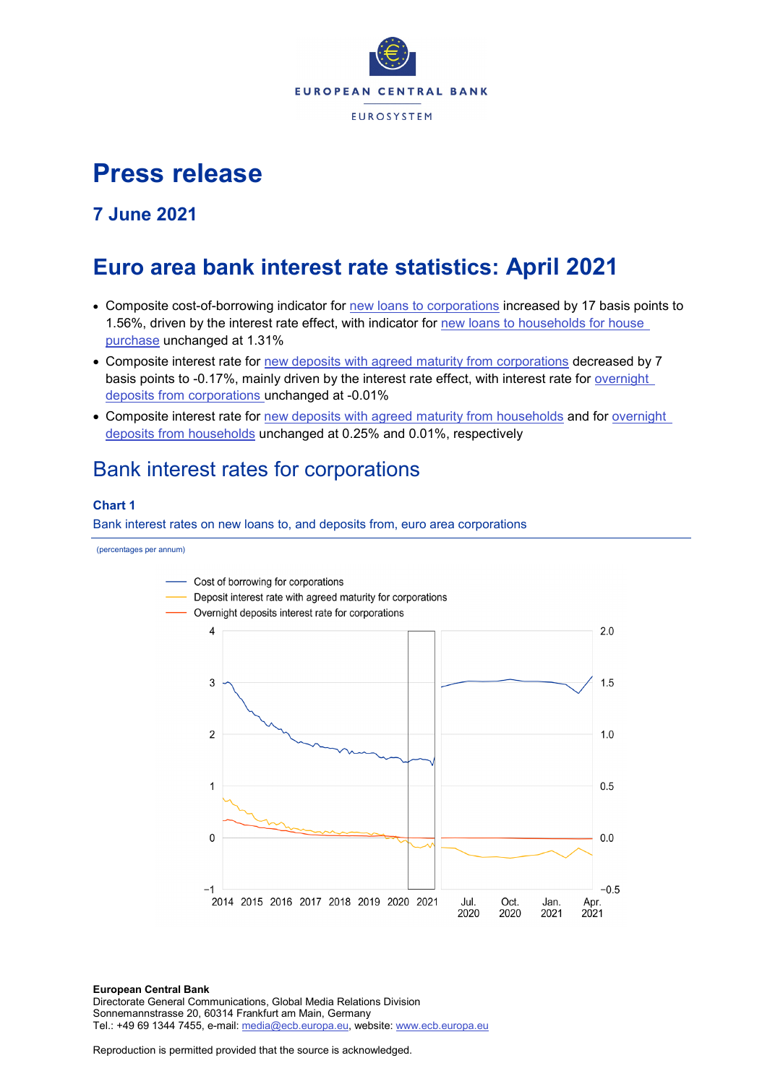

# **Press release**

## **7 June 2021**

# **Euro area bank interest rate statistics: April 2021**

- Composite cost-of-borrowing indicator for [new loans to corporations](http://sdw.ecb.europa.eu/quickview.do?SERIES_KEY=124.MIR.M.U2.B.A2I.AM.R.A.2240.EUR.N) increased by 17 basis points to 1.56%, driven by the interest rate effect, with indicator for new loans to households for house [purchase](http://sdw.ecb.europa.eu/quickview.do?SERIES_KEY=124.MIR.M.U2.B.A2C.AM.R.A.2250.EUR.N) unchanged at 1.31%
- Composite interest rate for [new deposits with agreed maturity from corporations](http://sdw.ecb.europa.eu/quickview.do?SERIES_KEY=124.MIR.M.U2.B.L22.A.R.A.2240.EUR.N) decreased by 7 basis points to -0.17%, mainly driven by the interest rate effect, with interest rate for [overnight](http://sdw.ecb.europa.eu/quickview.do?SERIES_KEY=124.MIR.M.U2.B.L21.A.R.A.2240.EUR.N)  deposits [from corporations](http://sdw.ecb.europa.eu/quickview.do?SERIES_KEY=124.MIR.M.U2.B.L21.A.R.A.2240.EUR.N) unchanged at -0.01%
- Composite interest rate for [new deposits with agreed maturity from households](http://sdw.ecb.europa.eu/quickview.do?SERIES_KEY=124.MIR.M.U2.B.L22.A.R.A.2250.EUR.N) and for overnight deposits [from households](http://sdw.ecb.europa.eu/quickview.do?SERIES_KEY=124.MIR.M.U2.B.L21.A.R.A.2250.EUR.N) unchanged at 0.25% and 0.01%, respectively

# Bank interest rates for corporations

## **Chart 1**

Bank interest rates on new loans to, and deposits from, euro area corporations





**European Central Bank** Directorate General Communications, Global Media Relations Division Sonnemannstrasse 20, 60314 Frankfurt am Main, Germany Tel.: +49 69 1344 7455, e-mail: [media@ecb.europa.eu,](mailto:media@ecb.europa.eu) website: [www.ecb.europa.eu](http://www.ecb.europa.eu/)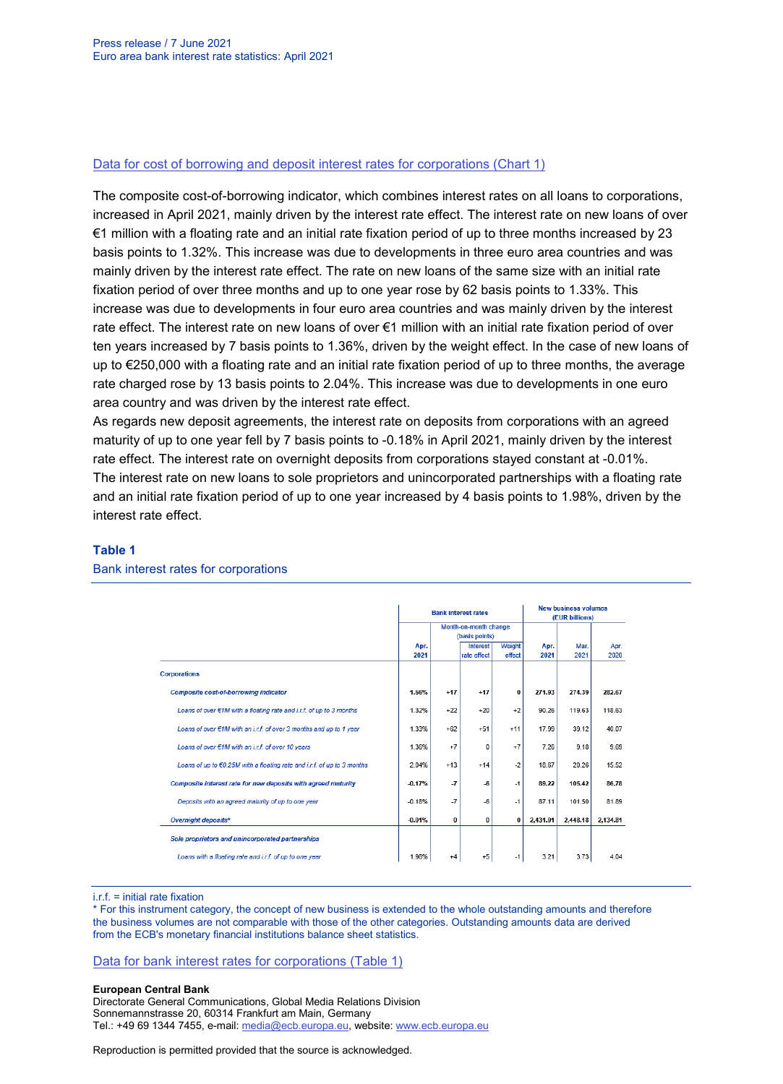### [Data for cost of borrowing and deposit interest rates for corporations \(Chart 1\)](http://sdw.ecb.europa.eu/browseSelection.do?type=series&q=MIR.M.U2.B.L22.A.R.A.2240.EUR.N+MIR.M.U2.B.A2I.AM.R.A.2240.EUR.N+MIR.M.U2.B.L21.A.R.A.2240.EUR.N&node=SEARCHRESULTS)

The composite cost-of-borrowing indicator, which combines interest rates on all loans to corporations, increased in April 2021, mainly driven by the interest rate effect. The interest rate on new loans of over €1 million with a floating rate and an initial rate fixation period of up to three months increased by 23 basis points to 1.32%. This increase was due to developments in three euro area countries and was mainly driven by the interest rate effect. The rate on new loans of the same size with an initial rate fixation period of over three months and up to one year rose by 62 basis points to 1.33%. This increase was due to developments in four euro area countries and was mainly driven by the interest rate effect. The interest rate on new loans of over €1 million with an initial rate fixation period of over ten years increased by 7 basis points to 1.36%, driven by the weight effect. In the case of new loans of up to €250,000 with a floating rate and an initial rate fixation period of up to three months, the average rate charged rose by 13 basis points to 2.04%. This increase was due to developments in one euro area country and was driven by the interest rate effect.

As regards new deposit agreements, the interest rate on deposits from corporations with an agreed maturity of up to one year fell by 7 basis points to -0.18% in April 2021, mainly driven by the interest rate effect. The interest rate on overnight deposits from corporations stayed constant at -0.01%. The interest rate on new loans to sole proprietors and unincorporated partnerships with a floating rate and an initial rate fixation period of up to one year increased by 4 basis points to 1.98%, driven by the interest rate effect.

#### **Table 1**

|                                                                         |          |       | <b>Bank interest rates</b> | <b>New business volumes</b><br>(EUR billions) |          |          |          |
|-------------------------------------------------------------------------|----------|-------|----------------------------|-----------------------------------------------|----------|----------|----------|
|                                                                         |          |       | Month-on-month change      |                                               |          |          |          |
|                                                                         |          |       | (basis points)             |                                               |          |          |          |
|                                                                         | Apr.     |       | Interest                   | Weight                                        | Apr.     | Mar.     | Apr.     |
|                                                                         | 2021     |       | rate effect                | effect                                        | 2021     | 2021     | 2020     |
| <b>Corporations</b>                                                     |          |       |                            |                                               |          |          |          |
| <b>Composite cost-of-borrowing indicator</b>                            | 1.56%    | $+17$ | $+17$                      | $\bf{0}$                                      | 271.93   | 274.39   | 282.67   |
| Loans of over $E$ 1M with a floating rate and i.r.f. of up to 3 months  | 1.32%    | $+22$ | $+20$                      | $+2$                                          | 90.26    | 119.63   | 118.63   |
| Loans of over €1M with an i.r.f. of over 3 months and up to 1 year      | 1.33%    | $+62$ | $+51$                      | $+11$                                         | 17.99    | 39.12    | 40.07    |
| Loans of over €1M with an i.r.f. of over 10 years                       | 1.36%    | $+7$  | $\bf{0}$                   | $+7$                                          | 7.26     | 9.18     | 9.69     |
| Loans of up to €0.25M with a floating rate and i.r.f. of up to 3 months | 2.04%    | $+13$ | $+14$                      | $-2$                                          | 18.67    | 20.26    | 15.52    |
| Composite interest rate for new deposits with agreed maturity           | $-0.17%$ | $-7$  | $-6$                       | $-1$                                          | 89.22    | 105.42   | 86.78    |
| Deposits with an agreed maturity of up to one year                      | $-0.18%$ | $-7$  | $-6$                       | $-1$                                          | 87.11    | 101.50   | 81.89    |
| <b>Overnight deposits*</b>                                              | $-0.01%$ | 0     | 0                          | 0                                             | 2.431.91 | 2.448.18 | 2,134.81 |
| Sole proprietors and unincorporated partnerships                        |          |       |                            |                                               |          |          |          |
| Loans with a floating rate and i.r.f. of up to one year                 | 1.98%    | $+4$  | $+5$                       | $-1$                                          | 3.21     | 3.73     | 4.04     |

#### Bank interest rates for corporations

 $i$  r.f. = initial rate fixation

\* For this instrument category, the concept of new business is extended to the whole outstanding amounts and therefore the business volumes are not comparable with those of the other categories. Outstanding amounts data are derived from the ECB's monetary financial institutions balance sheet statistics.

#### [Data for bank interest rates for corporations \(Table 1\)](http://sdw.ecb.europa.eu/browseSelection.do?type=series&q=MIR.M.U2.B.A2I.AM.R.A.2240.EUR.N+MIR.M.U2.B.A2A.D.R.1.2240.EUR.N+MIR.M.U2.B.A2A.Q.R.1.2240.EUR.N+MIR.M.U2.B.A2A.P.R.1.2240.EUR.N++MIR.M.U2.B.A2A.D.R.2.2240.EUR.N++MIR.M.U2.B.L22.F.R.A.2240.EUR.N++MIR.M.U2.B.A2D.F.R.A.2253.EUR.N+MIR.M.U2.B.L22.A.R.A.2240.EUR.N+MIR.M.U2.B.L21.A.R.A.2240.EUR.N+&node=SEARCHRESULTS&ec=&oc=&rc=&cv=&pb=&dc=&df=)

#### **European Central Bank**

Directorate General Communications, Global Media Relations Division Sonnemannstrasse 20, 60314 Frankfurt am Main, Germany Tel.: +49 69 1344 7455, e-mail: [media@ecb.europa.eu,](mailto:media@ecb.europa.eu) website: [www.ecb.europa.eu](http://www.ecb.europa.eu/)

Reproduction is permitted provided that the source is acknowledged.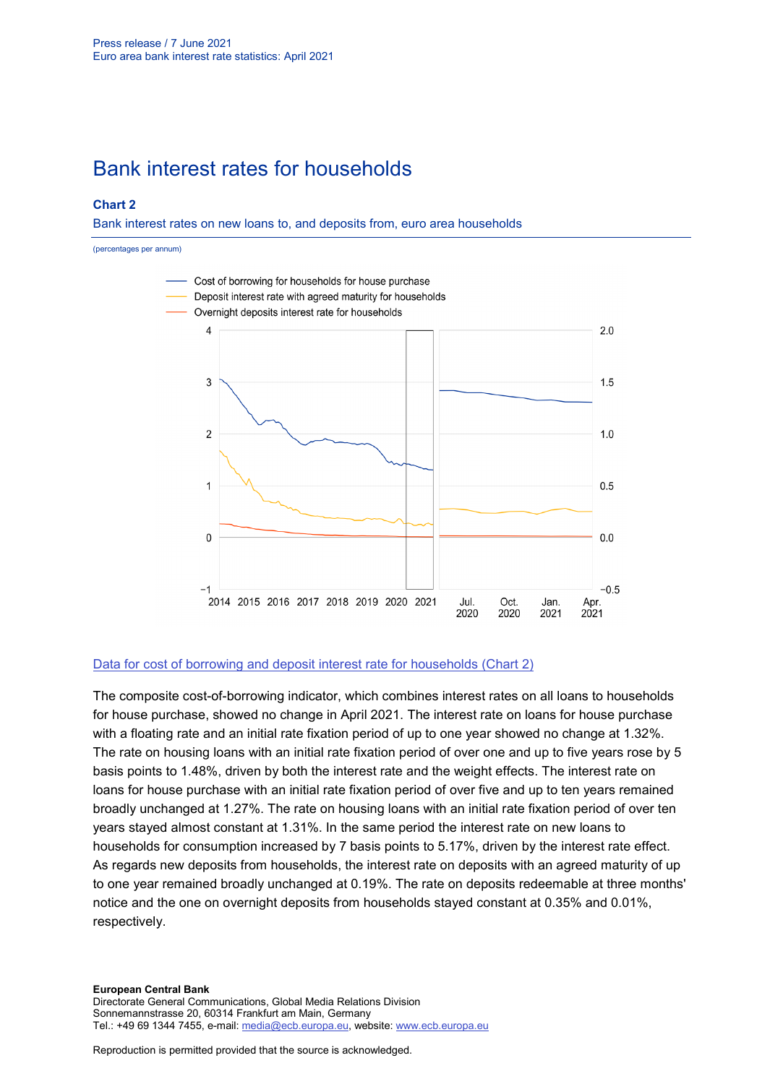# Bank interest rates for households

### **Chart 2**

Bank interest rates on new loans to, and deposits from, euro area households



### [Data for cost of borrowing and deposit interest rate for households \(Chart 2\)](http://sdw.ecb.europa.eu/browseSelection.do?type=series&q=MIR.M.U2.B.L22.A.R.A.2250.EUR.N+MIR.M.U2.B.A2C.AM.R.A.2250.EUR.N+MIR.M.U2.B.L21.A.R.A.2250.EUR.N&node=SEARCHRESULTS)

The composite cost-of-borrowing indicator, which combines interest rates on all loans to households for house purchase, showed no change in April 2021. The interest rate on loans for house purchase with a floating rate and an initial rate fixation period of up to one year showed no change at 1.32%. The rate on housing loans with an initial rate fixation period of over one and up to five years rose by 5 basis points to 1.48%, driven by both the interest rate and the weight effects. The interest rate on loans for house purchase with an initial rate fixation period of over five and up to ten years remained broadly unchanged at 1.27%. The rate on housing loans with an initial rate fixation period of over ten years stayed almost constant at 1.31%. In the same period the interest rate on new loans to households for consumption increased by 7 basis points to 5.17%, driven by the interest rate effect. As regards new deposits from households, the interest rate on deposits with an agreed maturity of up to one year remained broadly unchanged at 0.19%. The rate on deposits redeemable at three months' notice and the one on overnight deposits from households stayed constant at 0.35% and 0.01%, respectively.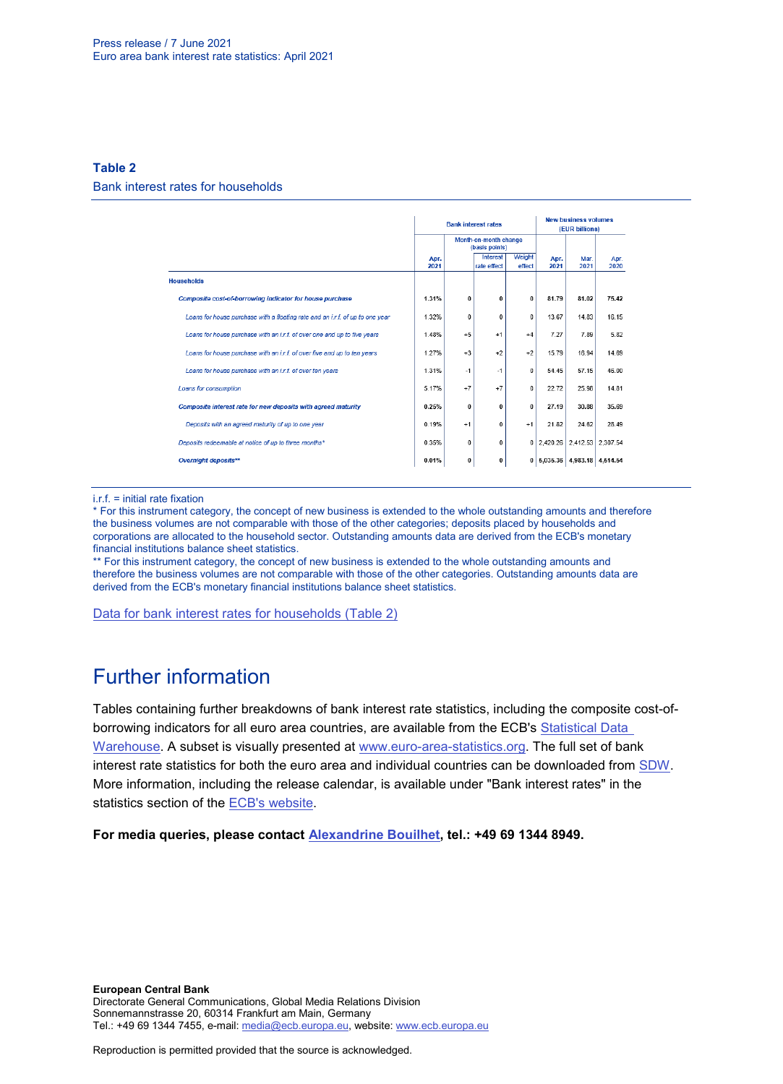### **Table 2** Bank interest rates for households

|                                                                               |              |                                         | <b>Bank interest rates</b> | <b>New business volumes</b><br>(EUR billions) |              |                   |              |
|-------------------------------------------------------------------------------|--------------|-----------------------------------------|----------------------------|-----------------------------------------------|--------------|-------------------|--------------|
|                                                                               |              | Month-on-month change<br>(basis points) |                            |                                               |              |                   |              |
|                                                                               | Apr.<br>2021 |                                         | Interest<br>rate effect    | Weight<br>effect                              | Apr.<br>2021 | Mar.<br>2021      | Apr.<br>2020 |
| <b>Households</b>                                                             |              |                                         |                            |                                               |              |                   |              |
| Composite cost-of-borrowing indicator for house purchase                      | 1.31%        | 0                                       | 0                          | $\Omega$                                      | 81.79        | 81.02             | 75.42        |
| Loans for house purchase with a floating rate and an i.r.f. of up to one year | 1.32%        | 0                                       | 0                          | 0                                             | 13.67        | 14.83             | 16.15        |
| Loans for house purchase with an i.r.f. of over one and up to five years      | 1.48%        | $+5$                                    | $+1$                       | $+4$                                          | 7.27         | 7.89              | 5.82         |
| Loans for house purchase with an i.r.f. of over five and up to ten years      | 1.27%        | $+3$                                    | $+2$                       | $+2$                                          | 15.79        | 16.94             | 14.69        |
| Loans for house purchase with an i.r.f. of over ten years                     | 1.31%        | $-1$                                    | $-1$                       | 0                                             | 54.45        | 57.15             | 46.00        |
| Loans for consumption                                                         | 5.17%        | $+7$                                    | $+7$                       | $\bf{0}$                                      | 22.72        | 25.98             | 14.81        |
| Composite interest rate for new deposits with agreed maturity                 | 0.25%        | $\bf{0}$                                | 0                          | $\bf{0}$                                      | 27.19        | 30.88             | 35.69        |
| Deposits with an agreed maturity of up to one year                            | 0.19%        | $+1$                                    | 0                          | $+1$                                          | 21.82        | 24.62             | 28.49        |
| Deposits redeemable at notice of up to three months*                          | 0.35%        | $\bf{0}$                                | 0                          | $\overline{0}$                                | 2.420.26     | 2.412.53 2.307.54 |              |
| Overnight deposits**                                                          | 0.01%        | 0                                       | 0                          | 0                                             | 5,035.36     | 4,983.18 4.514.54 |              |

i.r.f. = initial rate fixation

\* For this instrument category, the concept of new business is extended to the whole outstanding amounts and therefore the business volumes are not comparable with those of the other categories; deposits placed by households and corporations are allocated to the household sector. Outstanding amounts data are derived from the ECB's monetary financial institutions balance sheet statistics.

\*\* For this instrument category, the concept of new business is extended to the whole outstanding amounts and therefore the business volumes are not comparable with those of the other categories. Outstanding amounts data are derived from the ECB's monetary financial institutions balance sheet statistics.

[Data for bank interest rates for households \(Table 2\)](http://sdw.ecb.europa.eu/browseSelection.do?type=series&q=MIR.M.U2.B.A2C.AM.R.A.2250.EUR.N%2cMIR.M.U2.B.A2C.F.R.A.2250.EUR.N%2cMIR.M.U2.B.A2C.P.R.A.2250.EUR.N%2cMIR.M.U2.B.A2B.A.R.A.2250.EUR.N%2cMIR.M.U2.B.A2C.I.R.A.2250.EUR.N%2cMIR.M.U2.B.A2C.O.R.A.2250.EUR.N%2cMIR.M.U2.B.L22.F.R.A.2250.EUR.N%2cMIR.M.U2.B.L23.D.R.A.2250.EUR.N%2cMIR.M.U2.B.L22.A.R.A.2250.EUR.N%2cMIR.M.U2.B.L21.A.R.A.2250.EUR.N&node=SEARCHRESULTS&ec=&oc=&rc=&cv=&pb=&dc=&df=)

# Further information

Tables containing further breakdowns of bank interest rate statistics, including the composite cost-ofborrowing indicators for all euro area countries, are available from the ECB's [Statistical Data](http://sdw.ecb.europa.eu/reports.do?node=1000002880)  [Warehouse.](http://sdw.ecb.europa.eu/reports.do?node=1000002880) A subset is visually presented at [www.euro-area-statistics.org.](http://www.euro-area-statistics.org/) The full set of bank interest rate statistics for both the euro area and individual countries can be downloaded from [SDW.](http://sdw.ecb.europa.eu/browse.do?node=9691123) More information, including the release calendar, is available under "Bank interest rates" in the statistics section of the **ECB's website**.

**For media queries, please contact [Alexandrine Bouilhet,](mailto:mailto:alexandrine.bouilhet@ecb.europa.eu) tel.: +49 69 1344 8949.**